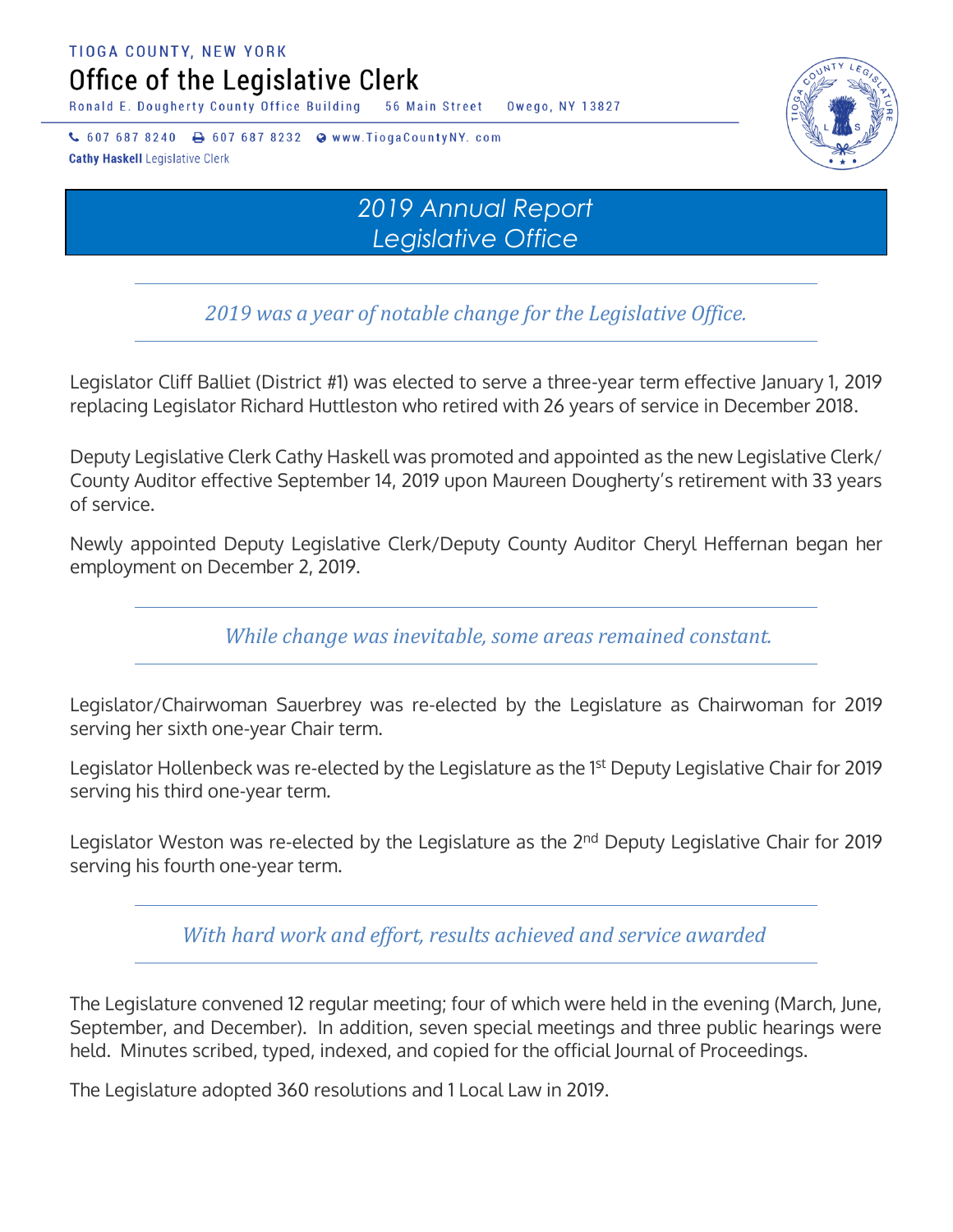Office of the Legislative Clerk

Ronald E. Dougherty County Office Building 56 Main Street Owego, NY 13827

↓ 607 687 8240 → 607 687 8232 → www.TiogaCountyNY.com **Cathy Haskell Legislative Clerk** 



*2019 Annual Report Legislative Office*

*2019 was a year of notable change for the Legislative Office.* 

Legislator Cliff Balliet (District #1) was elected to serve a three-year term effective January 1, 2019 replacing Legislator Richard Huttleston who retired with 26 years of service in December 2018.

Deputy Legislative Clerk Cathy Haskell was promoted and appointed as the new Legislative Clerk/ County Auditor effective September 14, 2019 upon Maureen Dougherty's retirement with 33 years of service.

Newly appointed Deputy Legislative Clerk/Deputy County Auditor Cheryl Heffernan began her employment on December 2, 2019.

*While change was inevitable, some areas remained constant.* 

Legislator/Chairwoman Sauerbrey was re-elected by the Legislature as Chairwoman for 2019 serving her sixth one-year Chair term.

Legislator Hollenbeck was re-elected by the Legislature as the 1<sup>st</sup> Deputy Legislative Chair for 2019 serving his third one-year term.

Legislator Weston was re-elected by the Legislature as the 2<sup>nd</sup> Deputy Legislative Chair for 2019 serving his fourth one-year term.

*With hard work and effort, results achieved and service awarded* 

The Legislature convened 12 regular meeting; four of which were held in the evening (March, June, September, and December). In addition, seven special meetings and three public hearings were held. Minutes scribed, typed, indexed, and copied for the official Journal of Proceedings.

The Legislature adopted 360 resolutions and 1 Local Law in 2019.